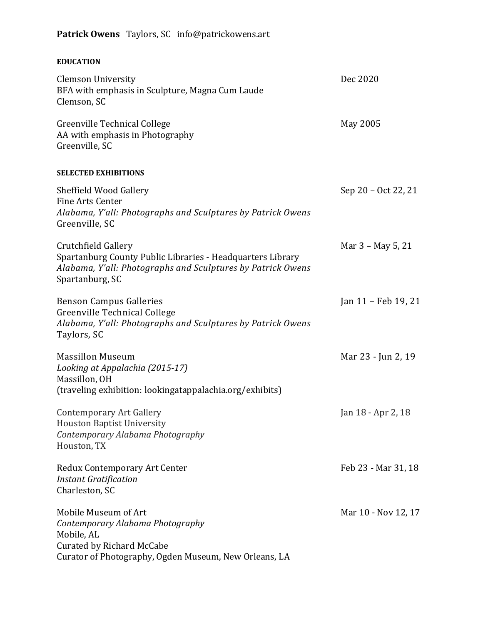## **Patrick Owens** Taylors, SC info@patrickowens.art

## **EDUCATION**

| <b>Clemson University</b><br>BFA with emphasis in Sculpture, Magna Cum Laude<br>Clemson, SC                                                                         | Dec 2020            |
|---------------------------------------------------------------------------------------------------------------------------------------------------------------------|---------------------|
| Greenville Technical College<br>AA with emphasis in Photography<br>Greenville, SC                                                                                   | May 2005            |
| <b>SELECTED EXHIBITIONS</b>                                                                                                                                         |                     |
| <b>Sheffield Wood Gallery</b><br><b>Fine Arts Center</b><br>Alabama, Y'all: Photographs and Sculptures by Patrick Owens<br>Greenville, SC                           | Sep 20 – Oct 22, 21 |
| Crutchfield Gallery<br>Spartanburg County Public Libraries - Headquarters Library<br>Alabama, Y'all: Photographs and Sculptures by Patrick Owens<br>Spartanburg, SC | Mar 3 - May 5, 21   |
| <b>Benson Campus Galleries</b><br>Greenville Technical College<br>Alabama, Y'all: Photographs and Sculptures by Patrick Owens<br>Taylors, SC                        | Jan 11 - Feb 19, 21 |
| <b>Massillon Museum</b><br>Looking at Appalachia (2015-17)<br>Massillon, OH<br>(traveling exhibition: lookingatappalachia.org/exhibits)                             | Mar 23 - Jun 2, 19  |
| <b>Contemporary Art Gallery</b><br><b>Houston Baptist University</b><br>Contemporary Alabama Photography<br>Houston, TX                                             | Jan 18 - Apr 2, 18  |
| Redux Contemporary Art Center<br><b>Instant Gratification</b><br>Charleston, SC                                                                                     | Feb 23 - Mar 31, 18 |
| Mobile Museum of Art<br>Contemporary Alabama Photography<br>Mobile, AL<br><b>Curated by Richard McCabe</b><br>Curator of Photography, Ogden Museum, New Orleans, LA | Mar 10 - Nov 12, 17 |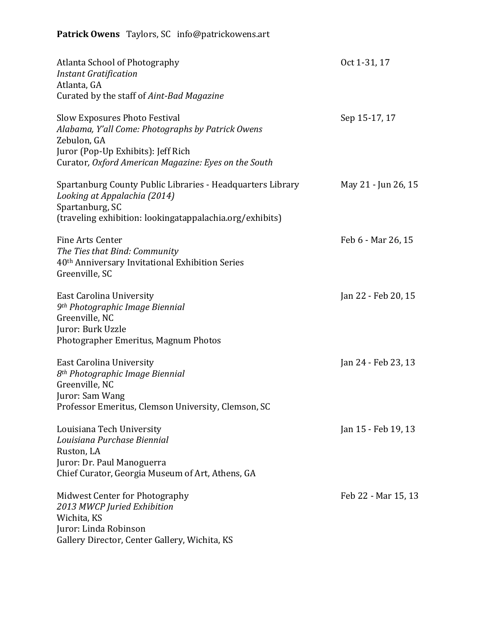## **Patrick Owens** Taylors, SC info@patrickowens.art

| Atlanta School of Photography<br><b>Instant Gratification</b>                                                                                                                                          | Oct 1-31, 17        |
|--------------------------------------------------------------------------------------------------------------------------------------------------------------------------------------------------------|---------------------|
| Atlanta, GA<br>Curated by the staff of Aint-Bad Magazine                                                                                                                                               |                     |
| <b>Slow Exposures Photo Festival</b><br>Alabama, Y'all Come: Photographs by Patrick Owens<br>Zebulon, GA<br>Juror (Pop-Up Exhibits): Jeff Rich<br>Curator, Oxford American Magazine: Eyes on the South | Sep 15-17, 17       |
| Spartanburg County Public Libraries - Headquarters Library<br>Looking at Appalachia (2014)<br>Spartanburg, SC<br>(traveling exhibition: lookingatappalachia.org/exhibits)                              | May 21 - Jun 26, 15 |
| Fine Arts Center<br>The Ties that Bind: Community<br>40 <sup>th</sup> Anniversary Invitational Exhibition Series<br>Greenville, SC                                                                     | Feb 6 - Mar 26, 15  |
| <b>East Carolina University</b><br>9 <sup>th</sup> Photographic Image Biennial<br>Greenville, NC<br>Juror: Burk Uzzle<br>Photographer Emeritus, Magnum Photos                                          | Jan 22 - Feb 20, 15 |
| <b>East Carolina University</b><br>8 <sup>th</sup> Photographic Image Biennial<br>Greenville, NC<br>Juror: Sam Wang<br>Professor Emeritus, Clemson University, Clemson, SC                             | Jan 24 - Feb 23, 13 |
| Louisiana Tech University<br>Louisiana Purchase Biennial<br>Ruston, LA<br>Juror: Dr. Paul Manoguerra<br>Chief Curator, Georgia Museum of Art, Athens, GA                                               | Jan 15 - Feb 19, 13 |
| Midwest Center for Photography<br>2013 MWCP Juried Exhibition<br>Wichita, KS<br>Juror: Linda Robinson<br>Gallery Director, Center Gallery, Wichita, KS                                                 | Feb 22 - Mar 15, 13 |